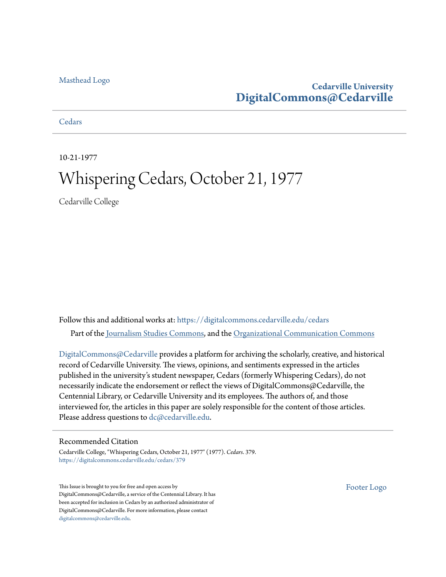#### [Masthead Logo](http://www.cedarville.edu/?utm_source=digitalcommons.cedarville.edu%2Fcedars%2F379&utm_medium=PDF&utm_campaign=PDFCoverPages)

#### **Cedarville University [DigitalCommons@Cedarville](https://digitalcommons.cedarville.edu?utm_source=digitalcommons.cedarville.edu%2Fcedars%2F379&utm_medium=PDF&utm_campaign=PDFCoverPages)**

**[Cedars](https://digitalcommons.cedarville.edu/cedars?utm_source=digitalcommons.cedarville.edu%2Fcedars%2F379&utm_medium=PDF&utm_campaign=PDFCoverPages)** 

10-21-1977

### Whispering Cedars, October 21, 1977

Cedarville College

Follow this and additional works at: [https://digitalcommons.cedarville.edu/cedars](https://digitalcommons.cedarville.edu/cedars?utm_source=digitalcommons.cedarville.edu%2Fcedars%2F379&utm_medium=PDF&utm_campaign=PDFCoverPages) Part of the [Journalism Studies Commons](http://network.bepress.com/hgg/discipline/333?utm_source=digitalcommons.cedarville.edu%2Fcedars%2F379&utm_medium=PDF&utm_campaign=PDFCoverPages), and the [Organizational Communication Commons](http://network.bepress.com/hgg/discipline/335?utm_source=digitalcommons.cedarville.edu%2Fcedars%2F379&utm_medium=PDF&utm_campaign=PDFCoverPages)

[DigitalCommons@Cedarville](http://digitalcommons.cedarville.edu/) provides a platform for archiving the scholarly, creative, and historical record of Cedarville University. The views, opinions, and sentiments expressed in the articles published in the university's student newspaper, Cedars (formerly Whispering Cedars), do not necessarily indicate the endorsement or reflect the views of DigitalCommons@Cedarville, the Centennial Library, or Cedarville University and its employees. The authors of, and those interviewed for, the articles in this paper are solely responsible for the content of those articles. Please address questions to [dc@cedarville.edu.](mailto:dc@cedarville.edu)

#### Recommended Citation

Cedarville College, "Whispering Cedars, October 21, 1977" (1977). *Cedars*. 379. [https://digitalcommons.cedarville.edu/cedars/379](https://digitalcommons.cedarville.edu/cedars/379?utm_source=digitalcommons.cedarville.edu%2Fcedars%2F379&utm_medium=PDF&utm_campaign=PDFCoverPages)

This Issue is brought to you for free and open access by DigitalCommons@Cedarville, a service of the Centennial Library. It has been accepted for inclusion in Cedars by an authorized administrator of DigitalCommons@Cedarville. For more information, please contact [digitalcommons@cedarville.edu](mailto:digitalcommons@cedarville.edu).

[Footer Logo](http://www.cedarville.edu/Academics/Library.aspx?utm_source=digitalcommons.cedarville.edu%2Fcedars%2F379&utm_medium=PDF&utm_campaign=PDFCoverPages)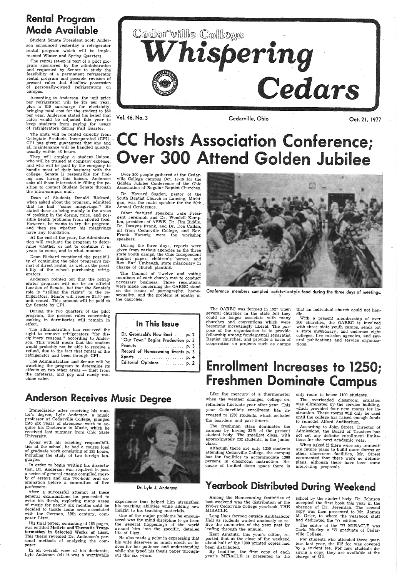### Rental Program Made Available

Student Senate President Scott Anderson announced yesterday a refrigerator rental program which will be implemented Winter and Spring Quarters.

The rental set-up is part of a pilot program sponsored by the administration and requested by Senate to study the feasibility of a permanent refrigerator feasibility of a permanent refrigerator<br>rental program and possible revision of<br>present rules that disallow possession of personally-owned refrigerators on campus.

According to Anderson, the unit price per refrigerator will be \$52 per year, <sup>p</sup>lus a \$10 surcharge for electricity, bringing total cost for the student to \$62 per year. Anderson stated his belief that rates would be adjusted this year to keep students from paying for usage of refrigerators during Fall Quarter.

The units will be rented directly from Collegiate Products, Incorporated (CPI). . CPI has given guarantees that any and all maintenance will be handled quickly, usually within 48 hours.

They will employ a student liaison, who will be trained at company expense, and who will be paid by the company to handle most of their business with the college. Senate is responsible for find ing and hiring this liaison. Anderson<br>asks all those interested in filling the poattion to contact Student Senate through the intra-campus mail.

During the two quarters of the pilot program, the present rules concerning cooking in dormitories will remain in effect.

Over 300 people gathered at the Cedarville College campus Oct. 17-19 for the Golden Jubilee Conference of the Ohio Association of Regular Baptist Churches.

Dean of Students Donald Rickard, when asked about the program, admitted<br>that he had "some misgivings." He stated these as being mainly in the areas<br>of cooking in the dorms, mice, and possible health problems from spoiled food.<br>However, he wants to try the program, and then see whether his misgivings have any foundation.

At the end of the year, the Administration will evaluate the program to deter mine whether or not to continue it in years to come, and in what manner.

Dean Rickard mentioned the possibility of continuing the pilot program's forbility of the school purchasing refrigerators.

Anderson pointed out that the refrigerator program will not be an official function of Senate, but that the Senate's role is "selling the rights" to the re frigerators. Senate will receive \$1.50 per unit rented. This amount will be paid to the Senate by CPI.

The administration has reserved the right to remove refrigerators "for dis ciplinary reasons," according to Anderson. This would mean that the. student would probably not be able to receive <sup>a</sup> refund, due to the fact that rental of the refrigerator had been through CPI.

The Administration and Senate will be watching the program to determine its effects on two other areas — theft from the cafeteria, and pop and candy ma chine sales.

Vol. 46, No. 3

Cedarville, Ohio Cost. 21, 1977

# **C Hosts Association Conference;** ver 300 Attend Golden Jubilee

Dr. Howard Sugden, pastor of the South Baptist Church in Lansing, Michigan, was the main speaker for the 50th Annual Conference.

Other featured speakers were President Jeremiah and Dr. Wendell Kempton, president of ABWE. Dr. Jim Biddle, Dr. Dwayne Frank, and Dr. Don Callan, all from Cedarville College, and Rev. Frank Hartwig were the workshop speakers.

> With a present membership of over 200 churches, the OARBC is involved with three state youth camps, sends out a state missionary; and endorses eight colleges, five mission agencies, and several publications and service organiza tions.

# Enrollment Increases to 1250; Freshmen Dominate Campus

During the three days, reports were <sup>g</sup>iven from various agencies as the three Baptist paper, children's homes, and Rev. Earl Umbaugh, state missionary in charge of church planting.

The Council of Twelve and voting members of each church met to conduct necessary business. Three resolutions were made concerning the OARBC stand on the issues of pornography, homo sexuality, and the problem of apathy in the churches.



Conference members sampled cafeteria-style food during the three days of meetings.

### In This Issue

| Dr. Gromacki's New Book  p. 2                      |  |
|----------------------------------------------------|--|
| "Our Town" Begins Production p. 3                  |  |
| Peanuts  p. 3                                      |  |
| Record of Homecoming Events p. 3                   |  |
| Sports $\ldots \ldots \ldots \ldots \ldots$ . p. 4 |  |
|                                                    |  |
|                                                    |  |

Anderson Receives Music Degree

Immediately after receiving his master's degree, Lyle Anderson, a music professor at Cedarville College, plunged into six years of strenuous work to acquire his Doctorate in Music, which he received last summer from Ohio State University.



Along with his teaching responsibili ties at the school, he had a course load of graduate work consisting of 135 hours, including the study of two foreign languages.

In order to begin writing his dissertation, Dr. Anderson was required to pass <sup>a</sup>series of general exams compiled most ly of essays and one two-hour oral examination before a committee of five professors.

After a successful attempt at these general examinations he. proceeded to of music for nearly six months until he decided to tackle some area associated with the German, 19th century, composer Liszt.

His final paper, consisting of 165 pages, was entitled Motivic and Thematic Transformation in Selected· Works of Liszt. This thesis revealed Dr. Anderson's per- sonal methods of analyzing the composer.

In an overall view of his doctorate, Lyle Anderson felt it was a worthwhile



Dr. Lyle J. Anderson

experience that helped him strengthen his teaching abilities while adding new insight to his teaching materials.

One of the major problems he encoun tered was the mind discipline to go from the general happenings of the world around him into the specific, detailed life of Liszt.

He also made <sup>a</sup>point in expressing that his wife deserves as much credit as he does for her patience and understanding while she typed his thesis paper throughout the six years.

The OARBC was formed in 1927 when several churches in the state felt they could no longer associate with many churches and conventions which were becoming increasingly liberal. The purfellowship among fundamental separatist<br>Baptist churches, and provide a basis of cooperation on projects such as camps

that an individual church could not handle.

Like the mercury of a thermometer when the weather changes, college enrollments fluctuate year after year. This year Cedarville's enrollment has increased to 1250 students, which includes the boarders and part-timers.

The freshman class dominates the campus by having 32% of the present student body. The smallest class, with approximately 232 students, is the junior class.

Although there are only 1250 students has the facilities to accommodate 1300 persons in classroom instruction. Because of limited dorm space there is only room to house 1100 students. The overloaded classroom situation was eliminated by the service building, which provided four new rooms for instruction. These rooms will only be used until the college has raised enough funds to remodel Alford Auditorium.

According to John Street, Director of Admissions, the Board of Trustees has not set any definite enrollment limitations for the next academic year.

When asked if there were any immediate future plans to build more dorms or other classroom facilities, Mr. Street commented that there were no definite plans, although there have been some interesting proposals.

### Yearbook Distributed During Weekend

Among the Homecoming festivities of last weekend was the distribution of the 1976-77 Cedarville College yearbook, THE MIRACLE.

Long lines formed outside Ambassador<br>Hall as students waited anxiously to relive the memories of the year past by leafing through the annual.

Kent Amstutz, this year's editor, re ported that at the close of the weekend about half of the 1300 printed copies had been distributed.

By tradition, the first copy of each year's MIRACLE is presented to the school by the student body. Dr. Johnson accepted the first book this year in the absence of Dr. Jeremiah. The second copy was then presented to Mr. James M. Grier, to whom the yearbook staff had dedicated the '77 edition.

The editor of the '77 MIRACLE was Carla Morley, a '77 graduate of Cedarville College.

For students who attended three quarters last year, the \$12 fee was covered by a student fee. For new students desiring a copy, they are available at the charge of \$12.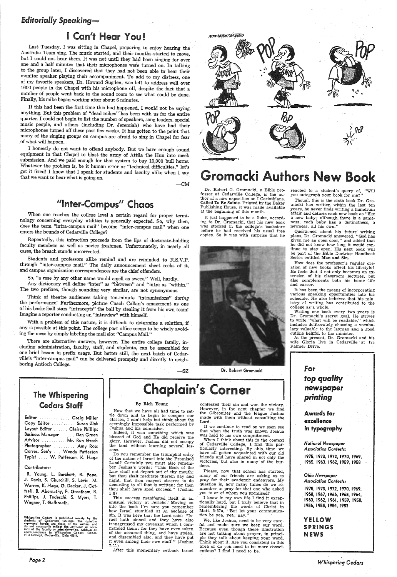#### *Editorially Speaking~*

### I Can't Hear You !

Last Tuesday, I was sitting in Chapel, preparing to enjoy hearing the Australia Team sing. The music started, and their mouths started to move, but I could not hear them. It was not until they had been singing for over one and a half minutes that their microphones *weie* turned on. In talkirig to the group later, I discovered that they had not been able to hear their monitor speaker playing their accompaniment. To add to my distress, one of my favorite speakers, Dr. Howard Sugden, was left to address well over 1600 people in the Chapel with his microphone off, despite the fact that <sup>a</sup> number of people went back to the sound room to see what could be done. Finally, his mike began working after about 6 minutes.

If this had been the first time this had happened, I would not be saying anything. But this problem of "dead mikes" has been with us for the entire music people, and others (including Dr. Jeremiah) who have had their microphones turned off these past few weeks. It has gotten to the point that many of the singing groups on campus are afraid to sing in Chapel for fear .of what will happen.

So, "a rose by any other name would smell as sweet." Well, hardly. Any dictionary will define "inter" as "between" and "intra as "within." The two prefixes, though sounding very similar, are not synonymous.

Think of theatre audiences taking ten-minute "intramissions" during the performance! Furthermore, picture Coach Callan's amazement as one of his basketball stars "intracepts" the ball by stealing it from his own team! Imagine a reporter conducting an "intraview" with himself.

I honestly do not want to offend anybody. But we have enough sound equipment in that Chapel to blast the army of Attila the Hun into meek submission. And we paid enough for that system to buy 10,000 bull horns. Whatever the problem is, be it human error or "technical difficulties," let's get it fixed! I know that I speak for students and faculty alike when I say that we want to hear what is going on.

 $-CM$ 

### "Inter-Campus" Chaos

When one reaches the college level a certain regard for proper termi-<br>nology concerning everyday utilities is generally expected. So, why then, does the term "intra-campus mail" become "inter-campus mail" when one enters the bounds of Cedarville College?

# 19770 CAYTON DATY REWS ••• \$&Q ЮD ..

### **Gromacki Authors New Book**

Dr. Robert G. Gromacki, a Bible pro-<br>fessor at Cedarville College, is the author of a new exposition on I Corinthians, Called To Be Saints. Printed by the Baker Publishing House, it was made available at the beginning of this month.

It just happened to be a fluke, according to Dr. Gromacki, that his new book was stocked in the college's bookstore before he had received his usual free copies. So it was with surprise that he

Repeatedly, this infraction proceeds from the lips of doctorate-holding faculty members as well as novice freshmen." Unfortunately, in nearly all cases, the breach stands uncorrected.

Though this is the sixth book Dr. Gromacki has written within the last ten years, he never finds writing a humdrum affair and defines each new book as "like <sup>a</sup>new baby; although there is a sameness, each baby has a distinctness, <sup>a</sup> newness, all his own."

Questioned about his future writing plans, Dr. Gromacki answered, "God has given me an open door," and added that he did not know how long it would continue to stay open. His next book will be part of the Bible Doctrine Handbook Series entitled Man and Sin.

Students and professors alike remind and are reminded to R.S.V.P. through "inter-campus mail." The daily announcement sheet reeks of it, and campus organization correspondences are the chief offenders.

How does the professor's regular cre-<br>ation of new books affect his lifestyle?<br>He feels that it not only becomes an extension of his classroom lectures, but also complements both his home life and career.

It has been the means of incorporating various speaking opportunities into his schedule. He also believes that his ministry of writing has contributed to the college as a whole.

Editor ............. Craig Miller Copy Editor .... *:* . . . . . Suzan Zink

| Layout Editor  Claire Phillips |
|--------------------------------|
| Business Manager  Dan Green    |
| Advisor  Mr. Ron Grosh         |
| Photographer  Amy Ross         |
| Corres. Sec'y  Wendy Patterson |
| Typist  W. Patterson, K. Haga  |

With a problem of this nature, it is difficult to determine a solution, if any is possible at this point. The college post office seems to be wisely avoid- ing the mess by simply labeling the mail slot "Campus Mail."

There are alternative answers, however. The entire college family, including administration, faculty, staff, and students, can be assembled for one brief lesson in prefix usage. But better still, the next batch of Cedarville's "inter-campus mail" can be delivered promptly and directly to neighboring Antioch College.

 $-SZ$ 

• n ...

Do you remember the triumphal entry of the nation of Israel into the Promised Land? Certainly you must also remember Joshua's words: "This Book of the Law shall not depart out of thy mouth; but thou shalt meditate therein day and night, that thou mayest observe to do according to all that is written: for then thou shalt have good success." (Joshua 1:8)

This success manifested itself in an unusual victory at Jericho. Moving on into the book I'm sure you remember how Israel stumbled at Ai because of sin. It was here that the Lord said: "Israel hath sinned and they have also transgressed my covenant which I commanded them: for they have even taken of the accursed thing, and have stolen, it even among their own stuff." (Joshua 7:11)



Dr. Robert Gromacki

#### reacted to a student's query of, "Will you autograph your book for me?"

Writing one book every two years is Dr. Gromacki's secret goal. He strives to write "what will be readable," which includes deliberately choosing a vocabulary valuable to the layman and a good outline helpful to the minister.

At the present, Dr. Gromacki and his wife Gloria live in Cedarville - at 178 Palmer Drive.

### The Whispering Cedars Staff

#### Contributors:

R. Young, l. Burchett, R. Pope, J. Davis, S. Churchill, S. Levin, M. Warren, K. Haga, G. Decker, J. Cottrell, B. Abernathy, F. Greetham, R. Phillips, J. Tedeschi, S. Myers, T. Wagner, T. Galbreath.

Whispering Cedars is published weekly by the students of Cedarville College. The opinions expressed herein are those of the writers and do not necessarily reflect the attitudes or opinions ions of the faculty or administra

Page2

By Rich Young

Now that we have all had time to settle down and to begin to conquer our classes, I can't help but think about the

seemingly impossible task performed by Joshua and his comrades.

Indeed, it was something which was blessed of God and He did receive the <sup>g</sup>lory. However, Joshua did not occupy the land without learning several lessons.



After this momentary setback Israel

confessed their sin and won the victory. However, in the next chapter we find the Gibeonites and the league Joshua made with them without consulting the Lord.

If we continue to read on we soon see that when the truth was known Joshua was held to his own commitment.

When I think about this in the context of Cedarville College, I find this par- ticularly interesting. By this. time we have all gotten acquainted with our old<br>friends and have shared in not only the victories, but also in many of the burdens.

Please, now that school has started, many of our friends are asking us to<br>pray for their academic endeavors. My question is, how many times do we remember to pray for that one who asked you to or of whom you promised?

<sup>I</sup>know in my own life I find it excep- tionally hard, but I truly believe that in remembering the words of Christ in Matt. 5:37a, ''But let your communication be yea, yea; nay."

We, like Joshua, need to be very care- ful and make sure we keep our word. Because even though these illustration are not talking about prayer, in princi <sup>p</sup>le they talk about keeping your word. Think about it. Are you consistent in this area or do you need to be more conscientious? I find I need to be.

#### in typography

*National Newspaper Association Contests:*  1975, 1973, 1972, 1970, 1969, 1965, 1963, 1962, 1959, 1958

#### *Ohio Newspaper Association Contests:*

1975, 1973, 1972, 1970, 1969, 1968, 1967, 1966, 1965, 1964, 1963, 1962, 1961, 1959, 1958, 1956, 1955, 1954, 1953

#### YELLOW SPRINGS NEWS

*Whispering Cedars*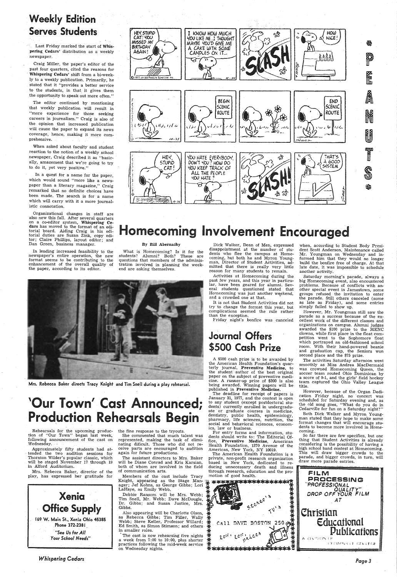### **Weekly Edition Serves Students**

Last Friday marked the start of Whispering Cedars' distribution as a weekly newspaper.

Craig Miller, the paper's editor of the past four quarters, cited the reasons for Whispering Cedars' shift from a bi-weekly to a weekly publication. Primarily, he stated that it "provides a better service to the students, in that it gives them the opportunity to speak out more often."

The editor continued by mentioning that weekly publication will result in "more experience for those seeking careers in journalism." Craig is also of the opinion that increased publication will cause the paper to expand its news coverage, hence, making it more comprehensive.

When asked about faculty and student reaction to the notion of a weekly school newspaper, Craig described it as "basically, amazement that we're going to try to do it, yet very positive."

In a quest for a name for the paper, which would sound "more like a newspaper than a literary magazine," Craig remarked that no definite choices have been made. The search is for a name which will carry with it a more journalistic connotation.

Organizational changes in staff are also new this fall. After several quarters on a co-editor system, Whispering Cedars has moved to the format of an editorial board. Aiding Craig in his editorial duties are Suzan Zink, copy editor; Claire Phillips, layout editor; and Dan Green, business manager.

In lending increased feasibility to the newspaper's entire operation, the new format seems to be contributing to the enhancement of the overall quality of the paper, according to its editor.



## Homecoming Involvement Encouraged

#### By Bill Abernathy

What is Homecoming? Is it for the students? Alumni? Both? These are questions that members of the administration involved in planning the weekend are asking themselves.



Mrs. Rebecca Baker directs Tracy Knight and Tim Snell during a play rehearsal.

# 'Our Town' Cast Announced; **Production Rehearsals Begin**

Dick Walker, Dean of Men, expressed disappointment at the number of students who flee the campus at Homecoming, but both he and Myron Youngman, Director of Student Activities, admitted that there is really very little reason for many students to remain.

Activities at Homecoming during the past few years, and this year in particular, have been geared for alumni. Several students questioned stated that<br>Homecoming was just another weekend, and a crowded one at that.

It is not that Student Activities did not try to change the format this year, but complications seemed the rule rather than the exception.

Friday night's bonfire was canceled

### **Journal Offers** \$500 Cash Prize

A \$500 cash prize is to be awarded by the American Health Foundation's quarterly journal, Preventive Medicine, to the student author of the best original paper on the subject of preventive medicine. A runner-up prize of \$200 is also being awarded. Winning papers will be published in **Preventive Medicine.** 

The deadline for receipt of papers is January 31, 1977, and the contest is open to any student (except postdoctoral students) currently enrolled in undergraduate or graduate courses in medicine, dentistry, public health, epidemiology, pharmacy, life sciences, nutrition, the behavioral sciences, economand

when, according to Student Body President Scott Anderson, Maintenance called Mr. Youngman on Wednesday and informed him that they would no longer build the bonfire free of charge. At that late date, it was impossible to schedule another activity.

Saturday morning's parade, always a big Homecoming event, also encountered problems. Because of conflicts with another special event in Jamestown, some groups refused the invitation to enter the parade. Still others canceled (some as late as Friday), and some entries simply failed to show up.

However, Mr. Youngman still saw the parade as a success because of the excellent work of the different classes and organizations on campus. Alumni judges awarded the \$100 prize to the MENC clowns, while first place in the float competition went to the Sophomore float which portrayed an old-fashioned school room. With their hand-powered beanie and graduation cap, the Seniors won second place and the \$75 prize.

The activities Saturday afternoon went smoothly as Miss Andrea MacDermaid was crowned Homecoming Queen, the soccer team routed Ohio Dominican by a score of 9-1, and the girls' field hockey team captured the Ohio Valley League title.

However, because of the Organ Dedication Friday night, no concert was scheduled for Saturday evening and, as the old song goes, "What do you do in Cedarville for fun on a Saturday night?"

Both Dick Walker and Myron Youngman stated that they hope to make some format changes that will encourage students to become more involved in Homecoming.

Rehearsals for the upcoming produc-<br>tion of "Our Town" began last week, following announcement of the cast on Wednesday.

Approximately fifty students had attended the two audition sessions for Thornton Wilder's popular classic, which will be staged November 17 through 19 in Alford Auditorium.

Mrs. Rebecca Baker, director of the play, has expressed her gratitude for



#### **Whispering Cedars**

the fine response to the tryouts.

She commented that much talent was represented, making the task of eliminating dificult. Those who did not receive parts are encouraged to audition again for future productions.

The assistant directors to Mrs. Baker will be Diane Conrad and Kris Karsian, both of whom are involved in the field of communication arts.

Members of the cast include Tracy Knight, appearing as the Stage Manager; Jef Kohns, as George Gibbs; Lori LaHaye, as Emily Webb.

Debbie Ransom will be Mrs. Webb; Tim Snell, Mr. Webb; Dave McDougle, Dr. Gibbs; and Susan Justice, Mrs. Gibbs.

Also appearing will be Charlotte Olson, as Rebecca Gibbs; Tim Filler, Wally Webb; Steve Keller, Professor Willard; Ed Smith, as Simon Stimson; and others in smaller roles.

The cast is now rehearsing five nights a week from 7:00 to 10:00, plus shorter practices following the mid-week service on Wednesday nights.

ics, law or business.

For entry forms and information, students should write to: The Editorial Of-Preventive Medicine, American fice, Health Foundation, 1370 Avenue of the Americas, New York, NY 10019.

The American Health Foundation is a private, non-profit research organization based in New York, dedicated to reducing unnecessary death and illness through research, education and the promotion of good health.

\*\*\*<u>\*\*\*</u>\*\*\*\*\*\*\*\*\*\*\*\*\* \*\*\*\*\*\*\*\* Call DAVE BOSTON 250  $9.0^{12.1}$ \*\*\*\*\*\*\*\*\*\*\*\*\*\*\*

So far there are few specifics, but one thing that Student Activities is already considering is the possibility of having a high school band contest at Homecoming. This will draw bigger crowds to the parade, and bigger crowds, in turn, will draw more parade entries.



Page 3